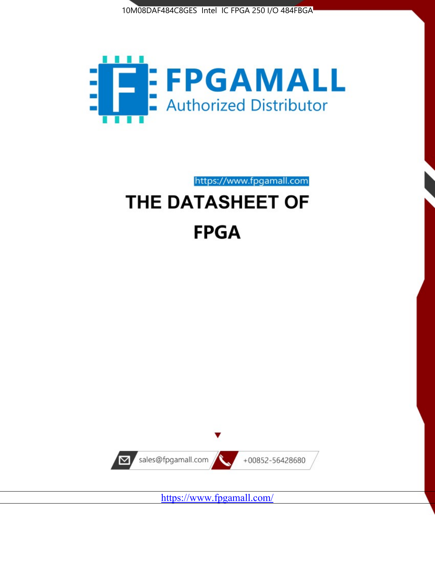



https://www.fpgamall.com

# THE DATASHEET OF **FPGA**



<https://www.fpgamall.com/>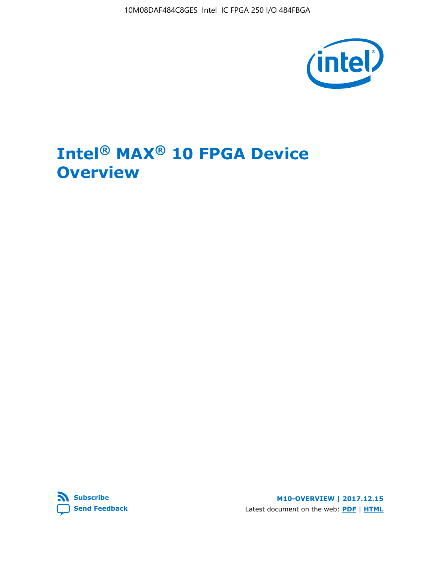

# **Intel® MAX® 10 FPGA Device Overview**



**M10-OVERVIEW | 2017.12.15** Latest document on the web: **[PDF](https://www.altera.com/en_US/pdfs/literature/hb/max-10/m10_overview.pdf)** | **[HTML](https://www.altera.com/documentation/myt1396938463674.html)**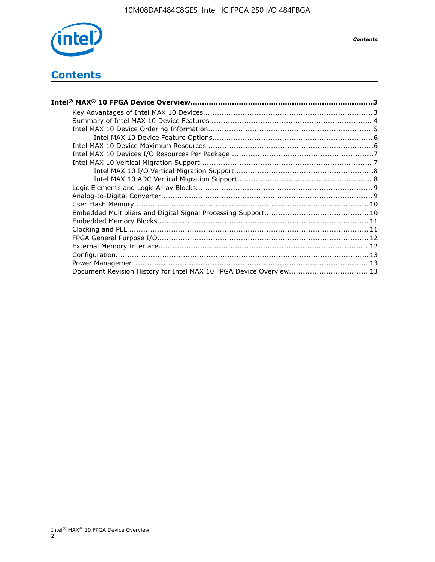

*Contents*

# **Contents**

| Intel® MAX® 10 FPGA Device Overview………………………………………………………………………………………3 |  |
|-----------------------------------------------------------------------|--|
|                                                                       |  |
|                                                                       |  |
|                                                                       |  |
|                                                                       |  |
|                                                                       |  |
|                                                                       |  |
|                                                                       |  |
|                                                                       |  |
|                                                                       |  |
|                                                                       |  |
|                                                                       |  |
|                                                                       |  |
|                                                                       |  |
|                                                                       |  |
|                                                                       |  |
|                                                                       |  |
|                                                                       |  |
|                                                                       |  |
|                                                                       |  |
| Document Revision History for Intel MAX 10 FPGA Device Overview 13    |  |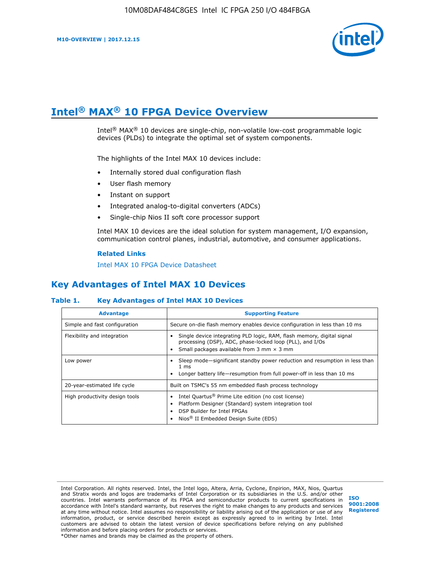

# **Intel® MAX® 10 FPGA Device Overview**

Intel<sup>®</sup> MAX<sup>®</sup> 10 devices are single-chip, non-volatile low-cost programmable logic devices (PLDs) to integrate the optimal set of system components.

The highlights of the Intel MAX 10 devices include:

- Internally stored dual configuration flash
- User flash memory
- Instant on support
- Integrated analog-to-digital converters (ADCs)
- Single-chip Nios II soft core processor support

Intel MAX 10 devices are the ideal solution for system management, I/O expansion, communication control planes, industrial, automotive, and consumer applications.

#### **Related Links**

[Intel MAX 10 FPGA Device Datasheet](https://www.altera.com/documentation/mcn1397700832153.html#mcn1397643748870)

# **Key Advantages of Intel MAX 10 Devices**

## **Table 1. Key Advantages of Intel MAX 10 Devices**

| <b>Advantage</b>               | <b>Supporting Feature</b>                                                                                                                                                                                  |
|--------------------------------|------------------------------------------------------------------------------------------------------------------------------------------------------------------------------------------------------------|
| Simple and fast configuration  | Secure on-die flash memory enables device configuration in less than 10 ms                                                                                                                                 |
| Flexibility and integration    | Single device integrating PLD logic, RAM, flash memory, digital signal<br>processing (DSP), ADC, phase-locked loop (PLL), and I/Os<br>Small packages available from 3 mm $\times$ 3 mm                     |
| Low power                      | Sleep mode—significant standby power reduction and resumption in less than<br>$1 \text{ ms}$<br>Longer battery life-resumption from full power-off in less than 10 ms                                      |
| 20-year-estimated life cycle   | Built on TSMC's 55 nm embedded flash process technology                                                                                                                                                    |
| High productivity design tools | Intel Quartus <sup>®</sup> Prime Lite edition (no cost license)<br>Platform Designer (Standard) system integration tool<br>DSP Builder for Intel FPGAs<br>Nios <sup>®</sup> II Embedded Design Suite (EDS) |

Intel Corporation. All rights reserved. Intel, the Intel logo, Altera, Arria, Cyclone, Enpirion, MAX, Nios, Quartus and Stratix words and logos are trademarks of Intel Corporation or its subsidiaries in the U.S. and/or other countries. Intel warrants performance of its FPGA and semiconductor products to current specifications in accordance with Intel's standard warranty, but reserves the right to make changes to any products and services at any time without notice. Intel assumes no responsibility or liability arising out of the application or use of any information, product, or service described herein except as expressly agreed to in writing by Intel. Intel customers are advised to obtain the latest version of device specifications before relying on any published information and before placing orders for products or services. \*Other names and brands may be claimed as the property of others.

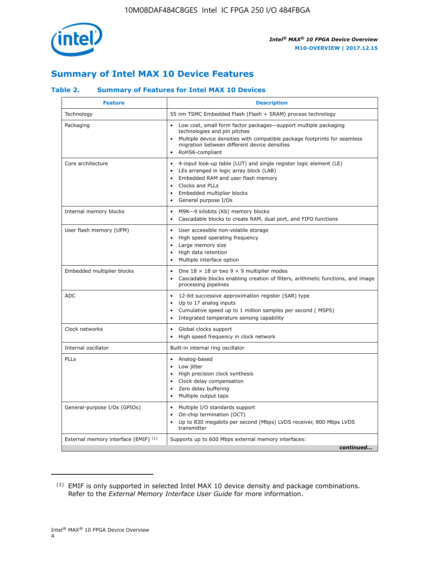

# **Summary of Intel MAX 10 Device Features**

## **Table 2. Summary of Features for Intel MAX 10 Devices**

| <b>Feature</b>                       | <b>Description</b>                                                                                                                                                                                                                                                                                         |
|--------------------------------------|------------------------------------------------------------------------------------------------------------------------------------------------------------------------------------------------------------------------------------------------------------------------------------------------------------|
| Technology                           | 55 nm TSMC Embedded Flash (Flash + SRAM) process technology                                                                                                                                                                                                                                                |
| Packaging                            | Low cost, small form factor packages-support multiple packaging<br>technologies and pin pitches<br>Multiple device densities with compatible package footprints for seamless<br>migration between different device densities<br>RoHS6-compliant                                                            |
| Core architecture                    | 4-input look-up table (LUT) and single register logic element (LE)<br>$\bullet$<br>LEs arranged in logic array block (LAB)<br>$\bullet$<br>Embedded RAM and user flash memory<br>$\bullet$<br>Clocks and PLLs<br>$\bullet$<br>Embedded multiplier blocks<br>$\bullet$<br>General purpose I/Os<br>$\bullet$ |
| Internal memory blocks               | M9K-9 kilobits (Kb) memory blocks<br>$\bullet$<br>Cascadable blocks to create RAM, dual port, and FIFO functions<br>$\bullet$                                                                                                                                                                              |
| User flash memory (UFM)              | User accessible non-volatile storage<br>$\bullet$<br>High speed operating frequency<br>$\bullet$<br>Large memory size<br>High data retention<br>$\bullet$<br>Multiple interface option                                                                                                                     |
| Embedded multiplier blocks           | One $18 \times 18$ or two 9 $\times$ 9 multiplier modes<br>$\bullet$<br>Cascadable blocks enabling creation of filters, arithmetic functions, and image<br>processing pipelines                                                                                                                            |
| <b>ADC</b>                           | 12-bit successive approximation register (SAR) type<br>$\bullet$<br>Up to 17 analog inputs<br>$\bullet$<br>Cumulative speed up to 1 million samples per second (MSPS)<br>Integrated temperature sensing capability<br>$\bullet$                                                                            |
| Clock networks                       | Global clocks support<br>$\bullet$<br>High speed frequency in clock network                                                                                                                                                                                                                                |
| Internal oscillator                  | Built-in internal ring oscillator                                                                                                                                                                                                                                                                          |
| PLLs                                 | • Analog-based<br>Low jitter<br>$\bullet$<br>High precision clock synthesis<br>$\bullet$<br>Clock delay compensation<br>$\bullet$<br>Zero delay buffering<br>$\bullet$<br>Multiple output taps<br>$\bullet$                                                                                                |
| General-purpose I/Os (GPIOs)         | • Multiple I/O standards support<br>On-chip termination (OCT)<br>$\bullet$<br>Up to 830 megabits per second (Mbps) LVDS receiver, 800 Mbps LVDS<br>transmitter                                                                                                                                             |
| External memory interface (EMIF) (1) | Supports up to 600 Mbps external memory interfaces:<br>continued                                                                                                                                                                                                                                           |

<sup>(1)</sup> EMIF is only supported in selected Intel MAX 10 device density and package combinations. Refer to the *External Memory Interface User Guide* for more information.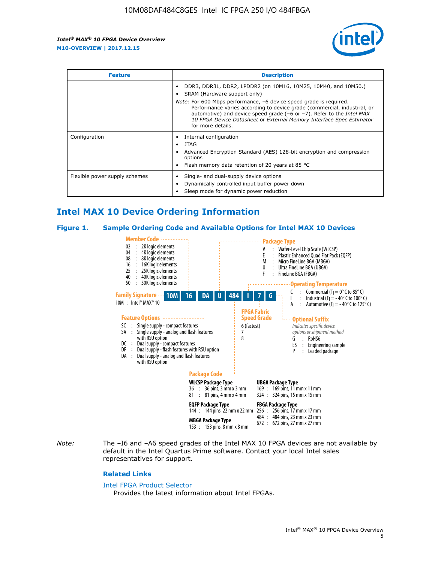

| <b>Feature</b>                | <b>Description</b>                                                                                                                                                                                                                                                                                                                             |  |  |  |
|-------------------------------|------------------------------------------------------------------------------------------------------------------------------------------------------------------------------------------------------------------------------------------------------------------------------------------------------------------------------------------------|--|--|--|
|                               | DDR3, DDR3L, DDR2, LPDDR2 (on 10M16, 10M25, 10M40, and 10M50.)<br>SRAM (Hardware support only)                                                                                                                                                                                                                                                 |  |  |  |
|                               | <i>Note:</i> For 600 Mbps performance, -6 device speed grade is required.<br>Performance varies according to device grade (commercial, industrial, or<br>automotive) and device speed grade $(-6 \text{ or } -7)$ . Refer to the <i>Intel MAX</i><br>10 FPGA Device Datasheet or External Memory Interface Spec Estimator<br>for more details. |  |  |  |
| Configuration                 | Internal configuration                                                                                                                                                                                                                                                                                                                         |  |  |  |
|                               | JTAG<br>٠                                                                                                                                                                                                                                                                                                                                      |  |  |  |
|                               | Advanced Encryption Standard (AES) 128-bit encryption and compression<br>options                                                                                                                                                                                                                                                               |  |  |  |
|                               | Flash memory data retention of 20 years at 85 $^{\circ}$ C                                                                                                                                                                                                                                                                                     |  |  |  |
| Flexible power supply schemes | Single- and dual-supply device options                                                                                                                                                                                                                                                                                                         |  |  |  |
|                               | Dynamically controlled input buffer power down                                                                                                                                                                                                                                                                                                 |  |  |  |
|                               | Sleep mode for dynamic power reduction                                                                                                                                                                                                                                                                                                         |  |  |  |

# **Intel MAX 10 Device Ordering Information**

#### **Figure 1. Sample Ordering Code and Available Options for Intel MAX 10 Devices**



*Note:* The –I6 and –A6 speed grades of the Intel MAX 10 FPGA devices are not available by default in the Intel Quartus Prime software. Contact your local Intel sales representatives for support.

#### **Related Links**

#### [Intel FPGA Product Selector](http://www.altera.com/products/selector/psg-selector.html)

Provides the latest information about Intel FPGAs.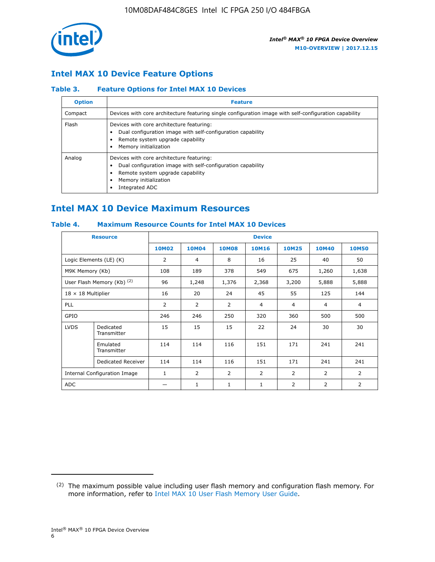

## **Intel MAX 10 Device Feature Options**

## **Table 3. Feature Options for Intel MAX 10 Devices**

| <b>Option</b> | <b>Feature</b>                                                                                                                                                                          |
|---------------|-----------------------------------------------------------------------------------------------------------------------------------------------------------------------------------------|
| Compact       | Devices with core architecture featuring single configuration image with self-configuration capability                                                                                  |
| Flash         | Devices with core architecture featuring:<br>Dual configuration image with self-configuration capability<br>Remote system upgrade capability<br>Memory initialization                   |
| Analog        | Devices with core architecture featuring:<br>Dual configuration image with self-configuration capability<br>Remote system upgrade capability<br>Memory initialization<br>Integrated ADC |

# **Intel MAX 10 Device Maximum Resources**

## **Table 4. Maximum Resource Counts for Intel MAX 10 Devices**

| <b>Resource</b>              |                            | <b>Device</b>  |              |              |                |                |              |                |
|------------------------------|----------------------------|----------------|--------------|--------------|----------------|----------------|--------------|----------------|
|                              |                            | <b>10M02</b>   | <b>10M04</b> | <b>10M08</b> | <b>10M16</b>   | <b>10M25</b>   | <b>10M40</b> | <b>10M50</b>   |
|                              | Logic Elements (LE) (K)    | $\overline{2}$ | 4            | 8            | 16             | 25             | 40           | 50             |
| M9K Memory (Kb)              |                            | 108            | 189          | 378          | 549            | 675            | 1,260        | 1,638          |
|                              | User Flash Memory (Kb) (2) | 96             | 1,248        | 1,376        | 2,368          | 3,200          | 5,888        | 5,888          |
| $18 \times 18$ Multiplier    |                            | 16             | 20           | 24           | 45             | 55             | 125          | 144            |
| <b>PLL</b>                   |                            | 2              | 2            | 2            | $\overline{4}$ | $\overline{4}$ | 4            | $\overline{4}$ |
| GPIO                         |                            | 246            | 246          | 250          | 320            | 360            | 500          | 500            |
| <b>LVDS</b>                  | Dedicated<br>Transmitter   | 15             | 15           | 15           | 22             | 24             | 30           | 30             |
|                              | Emulated<br>Transmitter    | 114            | 114          | 116          | 151            | 171            | 241          | 241            |
|                              | Dedicated Receiver         | 114            | 114          | 116          | 151            | 171            | 241          | 241            |
| Internal Configuration Image |                            | $\mathbf{1}$   | 2            | 2            | $\overline{2}$ | 2              | 2            | $\overline{2}$ |
| <b>ADC</b>                   |                            |                | 1            | 1            | $\mathbf{1}$   | 2              | 2            | 2              |

<sup>(2)</sup> The maximum possible value including user flash memory and configuration flash memory. For more information, refer to [Intel MAX 10 User Flash Memory User Guide](https://www.altera.com/documentation/vgo1395753117436.html#vgo1395811844282).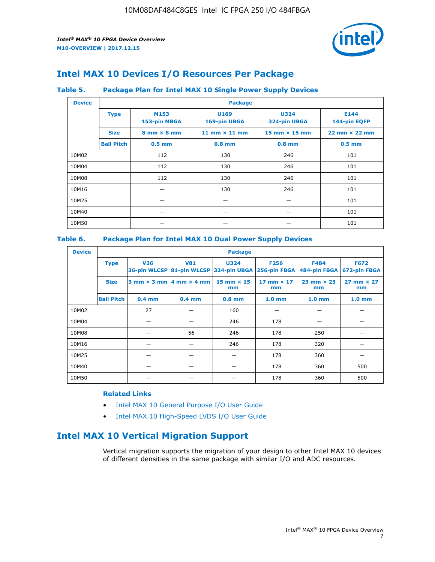

# **Intel MAX 10 Devices I/O Resources Per Package**

## **Table 5. Package Plan for Intel MAX 10 Single Power Supply Devices**

| <b>Device</b> |                   | <b>Package</b>                     |                      |                                      |                                      |  |  |  |  |
|---------------|-------------------|------------------------------------|----------------------|--------------------------------------|--------------------------------------|--|--|--|--|
|               | <b>Type</b>       | M153<br>153-pin MBGA               | U169<br>169-pin UBGA | <b>U324</b><br>324-pin UBGA          | E144<br>144-pin EQFP                 |  |  |  |  |
|               | <b>Size</b>       | $8 \text{ mm} \times 8 \text{ mm}$ | 11 mm $\times$ 11 mm | $15 \text{ mm} \times 15 \text{ mm}$ | $22 \text{ mm} \times 22 \text{ mm}$ |  |  |  |  |
|               | <b>Ball Pitch</b> | $0.5$ mm                           | $0.8$ mm             | $0.8$ mm                             | $0.5$ mm                             |  |  |  |  |
| 10M02         |                   | 112                                | 130                  | 246                                  | 101                                  |  |  |  |  |
| 10M04         |                   | 112                                | 130                  | 246                                  | 101                                  |  |  |  |  |
| 10M08         |                   | 112                                | 130                  | 246                                  | 101                                  |  |  |  |  |
| 10M16         |                   |                                    | 130                  | 246                                  | 101                                  |  |  |  |  |
| 10M25         |                   |                                    |                      |                                      | 101                                  |  |  |  |  |
| 10M40         |                   |                                    |                      |                                      | 101                                  |  |  |  |  |
| 10M50         |                   |                                    |                      |                                      | 101                                  |  |  |  |  |

## **Table 6. Package Plan for Intel MAX 10 Dual Power Supply Devices**

| <b>Device</b> |                   | <b>Package</b> |                                                |                                                                    |                         |                             |                             |  |  |  |
|---------------|-------------------|----------------|------------------------------------------------|--------------------------------------------------------------------|-------------------------|-----------------------------|-----------------------------|--|--|--|
|               | <b>Type</b>       | <b>V36</b>     | <b>V81</b>                                     | <b>U324</b><br>36-pin WLCSP 81-pin WLCSP 324-pin UBGA 256-pin FBGA | <b>F256</b>             | <b>F484</b><br>484-pin FBGA | <b>F672</b><br>672-pin FBGA |  |  |  |
|               | <b>Size</b>       |                | $3$ mm $\times$ 3 mm $ 4$ mm $\times$ 4 mm $ $ | 15 mm $\times$ 15<br>mm                                            | 17 mm $\times$ 17<br>mm | $23$ mm $\times$ 23<br>mm   | $27$ mm $\times$ 27<br>mm   |  |  |  |
|               | <b>Ball Pitch</b> | $0.4$ mm       | $0.4$ mm                                       | $0.8$ mm                                                           | 1.0 <sub>mm</sub>       | 1.0 <sub>mm</sub>           | 1.0 <sub>mm</sub>           |  |  |  |
| 10M02         |                   | 27             |                                                | 160                                                                |                         |                             |                             |  |  |  |
| 10M04         |                   |                |                                                | 246                                                                | 178                     |                             |                             |  |  |  |
| 10M08         |                   |                | 56                                             | 246                                                                | 178                     | 250                         |                             |  |  |  |
| 10M16         |                   |                |                                                | 246                                                                | 178                     | 320                         |                             |  |  |  |
| 10M25         |                   |                |                                                |                                                                    | 178                     | 360                         |                             |  |  |  |
| 10M40         |                   |                |                                                |                                                                    | 178                     | 360                         | 500                         |  |  |  |
| 10M50         |                   |                |                                                |                                                                    | 178                     | 360                         | 500                         |  |  |  |

## **Related Links**

- [Intel MAX 10 General Purpose I/O User Guide](https://www.altera.com/documentation/sam1393999966669.html#sam1394000084476)
- [Intel MAX 10 High-Speed LVDS I/O User Guide](https://www.altera.com/documentation/sam1394433606063.html#sam1394433911642)

# **Intel MAX 10 Vertical Migration Support**

Vertical migration supports the migration of your design to other Intel MAX 10 devices of different densities in the same package with similar I/O and ADC resources.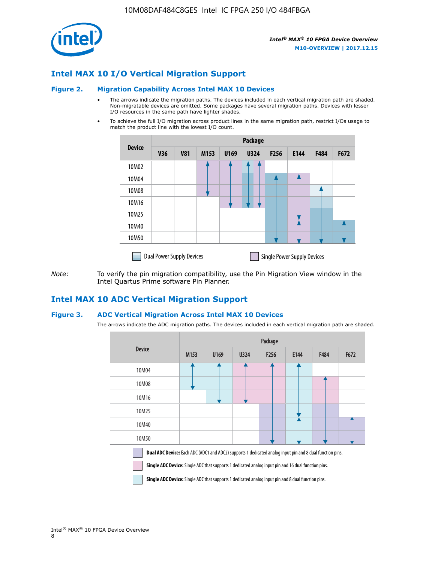

## **Intel MAX 10 I/O Vertical Migration Support**

#### **Figure 2. Migration Capability Across Intel MAX 10 Devices**

- The arrows indicate the migration paths. The devices included in each vertical migration path are shaded. Non-migratable devices are omitted. Some packages have several migration paths. Devices with lesser I/O resources in the same path have lighter shades.
- To achieve the full I/O migration across product lines in the same migration path, restrict I/Os usage to match the product line with the lowest I/O count.

|               | <b>Package</b>                   |            |      |      |             |      |                                    |      |      |  |
|---------------|----------------------------------|------------|------|------|-------------|------|------------------------------------|------|------|--|
| <b>Device</b> | <b>V36</b>                       | <b>V81</b> | M153 | U169 | <b>U324</b> | F256 | E144                               | F484 | F672 |  |
| 10M02         |                                  |            |      |      | 7           |      |                                    |      |      |  |
| 10M04         |                                  |            |      |      |             |      |                                    |      |      |  |
| 10M08         |                                  |            |      |      |             |      |                                    |      |      |  |
| 10M16         |                                  |            |      |      |             |      |                                    |      |      |  |
| 10M25         |                                  |            |      |      |             |      |                                    |      |      |  |
| 10M40         |                                  |            |      |      |             |      |                                    |      |      |  |
| 10M50         |                                  |            |      |      |             |      |                                    |      |      |  |
|               | <b>Dual Power Supply Devices</b> |            |      |      |             |      | <b>Single Power Supply Devices</b> |      |      |  |

*Note:* To verify the pin migration compatibility, use the Pin Migration View window in the Intel Quartus Prime software Pin Planner.

## **Intel MAX 10 ADC Vertical Migration Support**

#### **Figure 3. ADC Vertical Migration Across Intel MAX 10 Devices**

The arrows indicate the ADC migration paths. The devices included in each vertical migration path are shaded.

|                                                                                                                                                                                                                         | Package          |      |      |                  |      |      |      |  |  |
|-------------------------------------------------------------------------------------------------------------------------------------------------------------------------------------------------------------------------|------------------|------|------|------------------|------|------|------|--|--|
| <b>Device</b>                                                                                                                                                                                                           | M <sub>153</sub> | U169 | U324 | F <sub>256</sub> | E144 | F484 | F672 |  |  |
| 10M04                                                                                                                                                                                                                   |                  |      |      |                  |      |      |      |  |  |
| 10M08                                                                                                                                                                                                                   |                  |      |      |                  |      |      |      |  |  |
| 10M16                                                                                                                                                                                                                   |                  |      |      |                  |      |      |      |  |  |
| 10M25                                                                                                                                                                                                                   |                  |      |      |                  |      |      |      |  |  |
| 10M40                                                                                                                                                                                                                   |                  |      |      |                  |      |      |      |  |  |
| 10M50                                                                                                                                                                                                                   |                  |      |      |                  |      |      |      |  |  |
| <b>Dual ADC Device:</b> Each ADC (ADC1 and ADC2) supports 1 dedicated analog input pin and 8 dual function pins.<br>Single ADC Device: Single ADC that supports 1 dedicated analog input pin and 16 dual function pins. |                  |      |      |                  |      |      |      |  |  |

**Single ADC Device:** Single ADC that supports 1 dedicated analog input pin and 8 dual function pins.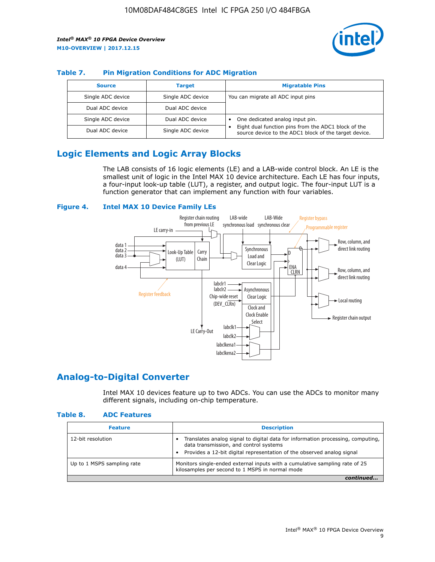

## **Table 7. Pin Migration Conditions for ADC Migration**

| <b>Source</b>     | <b>Target</b>     | <b>Migratable Pins</b>                                                                                            |
|-------------------|-------------------|-------------------------------------------------------------------------------------------------------------------|
| Single ADC device | Single ADC device | You can migrate all ADC input pins                                                                                |
| Dual ADC device   | Dual ADC device   |                                                                                                                   |
| Single ADC device | Dual ADC device   | One dedicated analog input pin.                                                                                   |
| Dual ADC device   | Single ADC device | Eight dual function pins from the ADC1 block of the<br>٠<br>source device to the ADC1 block of the target device. |

# **Logic Elements and Logic Array Blocks**

The LAB consists of 16 logic elements (LE) and a LAB-wide control block. An LE is the smallest unit of logic in the Intel MAX 10 device architecture. Each LE has four inputs, a four-input look-up table (LUT), a register, and output logic. The four-input LUT is a function generator that can implement any function with four variables.

#### **Figure 4. Intel MAX 10 Device Family LEs**



## **Analog-to-Digital Converter**

Intel MAX 10 devices feature up to two ADCs. You can use the ADCs to monitor many different signals, including on-chip temperature.

#### **Table 8. ADC Features**

| <b>Feature</b>             | <b>Description</b>                                                                                                                                                                                  |
|----------------------------|-----------------------------------------------------------------------------------------------------------------------------------------------------------------------------------------------------|
| 12-bit resolution          | Translates analog signal to digital data for information processing, computing,<br>data transmission, and control systems<br>Provides a 12-bit digital representation of the observed analog signal |
| Up to 1 MSPS sampling rate | Monitors single-ended external inputs with a cumulative sampling rate of 25<br>kilosamples per second to 1 MSPS in normal mode                                                                      |
|                            |                                                                                                                                                                                                     |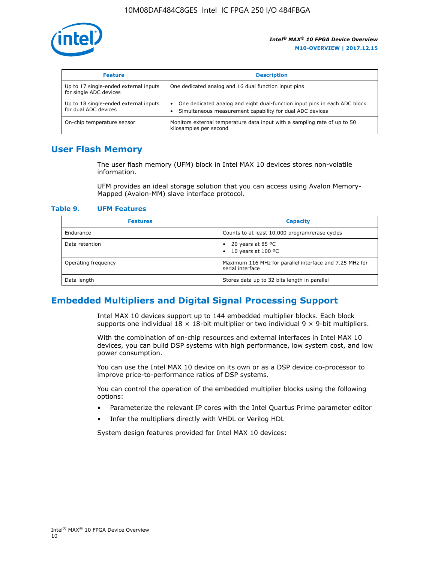

| <b>Feature</b>                                                  | <b>Description</b>                                                                                                                         |
|-----------------------------------------------------------------|--------------------------------------------------------------------------------------------------------------------------------------------|
| Up to 17 single-ended external inputs<br>for single ADC devices | One dedicated analog and 16 dual function input pins                                                                                       |
| Up to 18 single-ended external inputs<br>for dual ADC devices   | One dedicated analog and eight dual-function input pins in each ADC block<br>٠<br>Simultaneous measurement capability for dual ADC devices |
| On-chip temperature sensor                                      | Monitors external temperature data input with a sampling rate of up to 50<br>kilosamples per second                                        |

## **User Flash Memory**

The user flash memory (UFM) block in Intel MAX 10 devices stores non-volatile information.

UFM provides an ideal storage solution that you can access using Avalon Memory-Mapped (Avalon-MM) slave interface protocol.

#### **Table 9. UFM Features**

| <b>Features</b>     | <b>Capacity</b>                                                             |
|---------------------|-----------------------------------------------------------------------------|
| Endurance           | Counts to at least 10,000 program/erase cycles                              |
| Data retention      | 20 years at 85 $^{\circ}$ C<br>٠<br>10 years at 100 °C<br>$\bullet$         |
| Operating frequency | Maximum 116 MHz for parallel interface and 7.25 MHz for<br>serial interface |
| Data length         | Stores data up to 32 bits length in parallel                                |

## **Embedded Multipliers and Digital Signal Processing Support**

Intel MAX 10 devices support up to 144 embedded multiplier blocks. Each block supports one individual  $18 \times 18$ -bit multiplier or two individual  $9 \times 9$ -bit multipliers.

With the combination of on-chip resources and external interfaces in Intel MAX 10 devices, you can build DSP systems with high performance, low system cost, and low power consumption.

You can use the Intel MAX 10 device on its own or as a DSP device co-processor to improve price-to-performance ratios of DSP systems.

You can control the operation of the embedded multiplier blocks using the following options:

- Parameterize the relevant IP cores with the Intel Quartus Prime parameter editor
- Infer the multipliers directly with VHDL or Verilog HDL

System design features provided for Intel MAX 10 devices: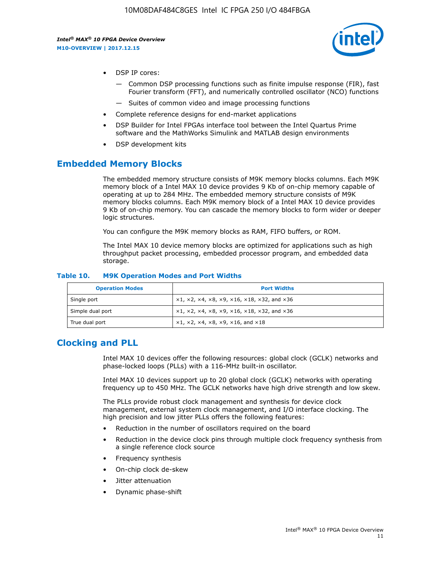

- DSP IP cores:
	- Common DSP processing functions such as finite impulse response (FIR), fast Fourier transform (FFT), and numerically controlled oscillator (NCO) functions
	- Suites of common video and image processing functions
- Complete reference designs for end-market applications
- DSP Builder for Intel FPGAs interface tool between the Intel Quartus Prime software and the MathWorks Simulink and MATLAB design environments
- DSP development kits

## **Embedded Memory Blocks**

The embedded memory structure consists of M9K memory blocks columns. Each M9K memory block of a Intel MAX 10 device provides 9 Kb of on-chip memory capable of operating at up to 284 MHz. The embedded memory structure consists of M9K memory blocks columns. Each M9K memory block of a Intel MAX 10 device provides 9 Kb of on-chip memory. You can cascade the memory blocks to form wider or deeper logic structures.

You can configure the M9K memory blocks as RAM, FIFO buffers, or ROM.

The Intel MAX 10 device memory blocks are optimized for applications such as high throughput packet processing, embedded processor program, and embedded data storage.

| <b>Operation Modes</b> | <b>Port Widths</b>                                                                       |
|------------------------|------------------------------------------------------------------------------------------|
| Single port            | $x1, x2, x4, x8, x9, x16, x18, x32, and x36$                                             |
| Simple dual port       | $x1, x2, x4, x8, x9, x16, x18, x32, and x36$                                             |
| True dual port         | $\times$ 1, $\times$ 2, $\times$ 4, $\times$ 8, $\times$ 9, $\times$ 16, and $\times$ 18 |

#### **Table 10. M9K Operation Modes and Port Widths**

# **Clocking and PLL**

Intel MAX 10 devices offer the following resources: global clock (GCLK) networks and phase-locked loops (PLLs) with a 116-MHz built-in oscillator.

Intel MAX 10 devices support up to 20 global clock (GCLK) networks with operating frequency up to 450 MHz. The GCLK networks have high drive strength and low skew.

The PLLs provide robust clock management and synthesis for device clock management, external system clock management, and I/O interface clocking. The high precision and low jitter PLLs offers the following features:

- Reduction in the number of oscillators required on the board
- Reduction in the device clock pins through multiple clock frequency synthesis from a single reference clock source
- Frequency synthesis
- On-chip clock de-skew
- Jitter attenuation
- Dynamic phase-shift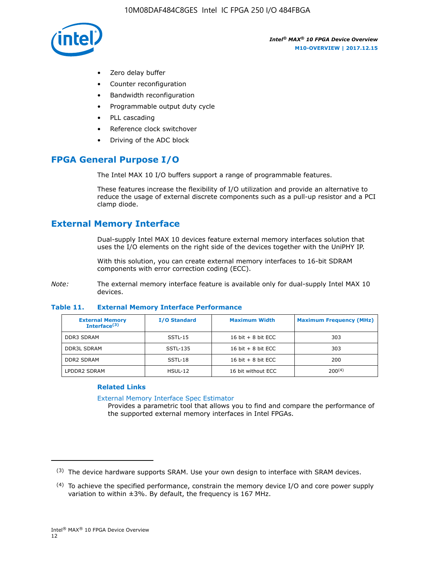

- Zero delay buffer
- Counter reconfiguration
- Bandwidth reconfiguration
- Programmable output duty cycle
- PLL cascading
- Reference clock switchover
- Driving of the ADC block

# **FPGA General Purpose I/O**

The Intel MAX 10 I/O buffers support a range of programmable features.

These features increase the flexibility of I/O utilization and provide an alternative to reduce the usage of external discrete components such as a pull-up resistor and a PCI clamp diode.

# **External Memory Interface**

Dual-supply Intel MAX 10 devices feature external memory interfaces solution that uses the I/O elements on the right side of the devices together with the UniPHY IP.

With this solution, you can create external memory interfaces to 16-bit SDRAM components with error correction coding (ECC).

*Note:* The external memory interface feature is available only for dual-supply Intel MAX 10 devices.

#### **Table 11. External Memory Interface Performance**

| <b>External Memory</b><br>Interface $(3)$ | <b>I/O Standard</b> | <b>Maximum Width</b> | <b>Maximum Frequency (MHz)</b> |
|-------------------------------------------|---------------------|----------------------|--------------------------------|
| <b>DDR3 SDRAM</b>                         | $SSTL-15$           | 16 bit $+8$ bit ECC  | 303                            |
| <b>DDR3L SDRAM</b>                        | SSTL-135            | 16 bit $+8$ bit ECC  | 303                            |
| <b>DDR2 SDRAM</b>                         | SSTL-18             | 16 bit $+8$ bit ECC  | 200                            |
| LPDDR2 SDRAM                              | HSUL-12             | 16 bit without ECC   | 200(4)                         |

## **Related Links**

[External Memory Interface Spec Estimator](http://www.altera.com/technology/memory/estimator/mem-emif-index.html)

Provides a parametric tool that allows you to find and compare the performance of the supported external memory interfaces in Intel FPGAs.

 $(3)$  The device hardware supports SRAM. Use your own design to interface with SRAM devices.

 $(4)$  To achieve the specified performance, constrain the memory device I/O and core power supply variation to within ±3%. By default, the frequency is 167 MHz.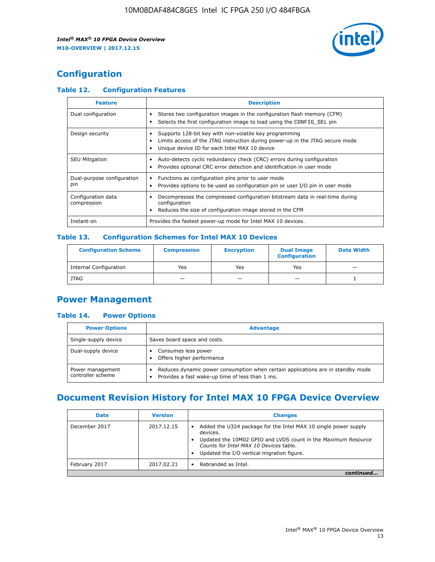

# **Configuration**

## **Table 12. Configuration Features**

| <b>Feature</b>                    | <b>Description</b>                                                                                                                                                                       |
|-----------------------------------|------------------------------------------------------------------------------------------------------------------------------------------------------------------------------------------|
| Dual configuration                | Stores two configuration images in the configuration flash memory (CFM)<br>Selects the first configuration image to load using the CONFIG SEL pin                                        |
| Design security                   | Supports 128-bit key with non-volatile key programming<br>Limits access of the JTAG instruction during power-up in the JTAG secure mode<br>Unique device ID for each Intel MAX 10 device |
| <b>SEU Mitigation</b>             | Auto-detects cyclic redundancy check (CRC) errors during configuration<br>Provides optional CRC error detection and identification in user mode                                          |
| Dual-purpose configuration<br>pin | Functions as configuration pins prior to user mode<br>Provides options to be used as configuration pin or user I/O pin in user mode                                                      |
| Configuration data<br>compression | Decompresses the compressed configuration bitstream data in real-time during<br>configuration<br>Reduces the size of configuration image stored in the CFM                               |
| Instant-on                        | Provides the fastest power-up mode for Intel MAX 10 devices.                                                                                                                             |

## **Table 13. Configuration Schemes for Intel MAX 10 Devices**

| <b>Configuration Scheme</b>   | <b>Compression</b>       | <b>Encryption</b> | <b>Dual Image</b><br><b>Configuration</b> | <b>Data Width</b> |
|-------------------------------|--------------------------|-------------------|-------------------------------------------|-------------------|
| <b>Internal Configuration</b> | Yes                      | Yes               | Yes                                       |                   |
| <b>JTAG</b>                   | $\overline{\phantom{a}}$ |                   | -                                         |                   |

## **Power Management**

## **Table 14. Power Options**

| <b>Power Options</b>                  | <b>Advantage</b>                                                                                                                                |  |
|---------------------------------------|-------------------------------------------------------------------------------------------------------------------------------------------------|--|
| Single-supply device                  | Saves board space and costs.                                                                                                                    |  |
| Dual-supply device                    | Consumes less power<br>Offers higher performance                                                                                                |  |
| Power management<br>controller scheme | Reduces dynamic power consumption when certain applications are in standby mode<br>Provides a fast wake-up time of less than 1 ms.<br>$\bullet$ |  |

# **Document Revision History for Intel MAX 10 FPGA Device Overview**

| <b>Date</b>   | <b>Version</b> | <b>Changes</b>                                                                                                                                                                                                                       |
|---------------|----------------|--------------------------------------------------------------------------------------------------------------------------------------------------------------------------------------------------------------------------------------|
| December 2017 | 2017.12.15     | Added the U324 package for the Intel MAX 10 single power supply<br>devices.<br>Updated the 10M02 GPIO and LVDS count in the Maximum Resource<br>Counts for Intel MAX 10 Devices table.<br>Updated the I/O vertical migration figure. |
| February 2017 | 2017.02.21     | Rebranded as Intel.                                                                                                                                                                                                                  |
|               |                |                                                                                                                                                                                                                                      |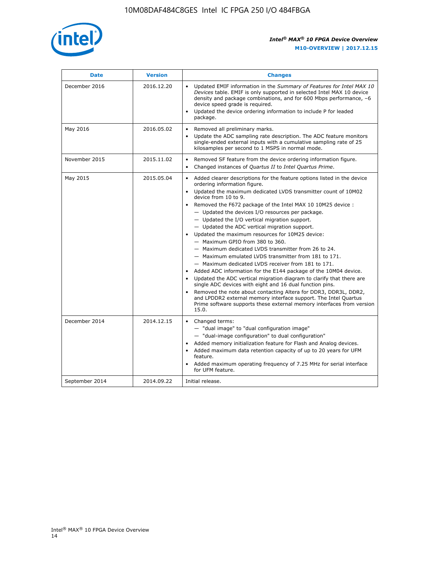

| <b>Date</b>    | <b>Version</b> | <b>Changes</b>                                                                                                                                                                                                                                                                                                                                                                                                                                                                                                                                                                                                                                                                                                                                                                                                                                                                                                                                                                                                                                                                                                  |  |
|----------------|----------------|-----------------------------------------------------------------------------------------------------------------------------------------------------------------------------------------------------------------------------------------------------------------------------------------------------------------------------------------------------------------------------------------------------------------------------------------------------------------------------------------------------------------------------------------------------------------------------------------------------------------------------------------------------------------------------------------------------------------------------------------------------------------------------------------------------------------------------------------------------------------------------------------------------------------------------------------------------------------------------------------------------------------------------------------------------------------------------------------------------------------|--|
| December 2016  | 2016.12.20     | • Updated EMIF information in the Summary of Features for Intel MAX 10<br>Devices table. EMIF is only supported in selected Intel MAX 10 device<br>density and package combinations, and for 600 Mbps performance, -6<br>device speed grade is required.<br>Updated the device ordering information to include P for leaded<br>package.                                                                                                                                                                                                                                                                                                                                                                                                                                                                                                                                                                                                                                                                                                                                                                         |  |
| May 2016       | 2016.05.02     | Removed all preliminary marks.<br>Update the ADC sampling rate description. The ADC feature monitors<br>single-ended external inputs with a cumulative sampling rate of 25<br>kilosamples per second to 1 MSPS in normal mode.                                                                                                                                                                                                                                                                                                                                                                                                                                                                                                                                                                                                                                                                                                                                                                                                                                                                                  |  |
| November 2015  | 2015.11.02     | Removed SF feature from the device ordering information figure.<br>Changed instances of Quartus II to Intel Quartus Prime.<br>$\bullet$                                                                                                                                                                                                                                                                                                                                                                                                                                                                                                                                                                                                                                                                                                                                                                                                                                                                                                                                                                         |  |
| May 2015       | 2015.05.04     | Added clearer descriptions for the feature options listed in the device<br>ordering information figure.<br>Updated the maximum dedicated LVDS transmitter count of 10M02<br>device from 10 to 9.<br>Removed the F672 package of the Intel MAX 10 10M25 device :<br>- Updated the devices I/O resources per package.<br>- Updated the I/O vertical migration support.<br>- Updated the ADC vertical migration support.<br>Updated the maximum resources for 10M25 device:<br>- Maximum GPIO from 380 to 360.<br>- Maximum dedicated LVDS transmitter from 26 to 24.<br>- Maximum emulated LVDS transmitter from 181 to 171.<br>- Maximum dedicated LVDS receiver from 181 to 171.<br>Added ADC information for the E144 package of the 10M04 device.<br>Updated the ADC vertical migration diagram to clarify that there are<br>single ADC devices with eight and 16 dual function pins.<br>Removed the note about contacting Altera for DDR3, DDR3L, DDR2,<br>and LPDDR2 external memory interface support. The Intel Quartus<br>Prime software supports these external memory interfaces from version<br>15.0. |  |
| December 2014  | 2014.12.15     | Changed terms:<br>- "dual image" to "dual configuration image"<br>- "dual-image configuration" to dual configuration"<br>Added memory initialization feature for Flash and Analog devices.<br>Added maximum data retention capacity of up to 20 years for UFM<br>feature.<br>Added maximum operating frequency of 7.25 MHz for serial interface<br>for UFM feature.                                                                                                                                                                                                                                                                                                                                                                                                                                                                                                                                                                                                                                                                                                                                             |  |
| September 2014 | 2014.09.22     | Initial release.                                                                                                                                                                                                                                                                                                                                                                                                                                                                                                                                                                                                                                                                                                                                                                                                                                                                                                                                                                                                                                                                                                |  |